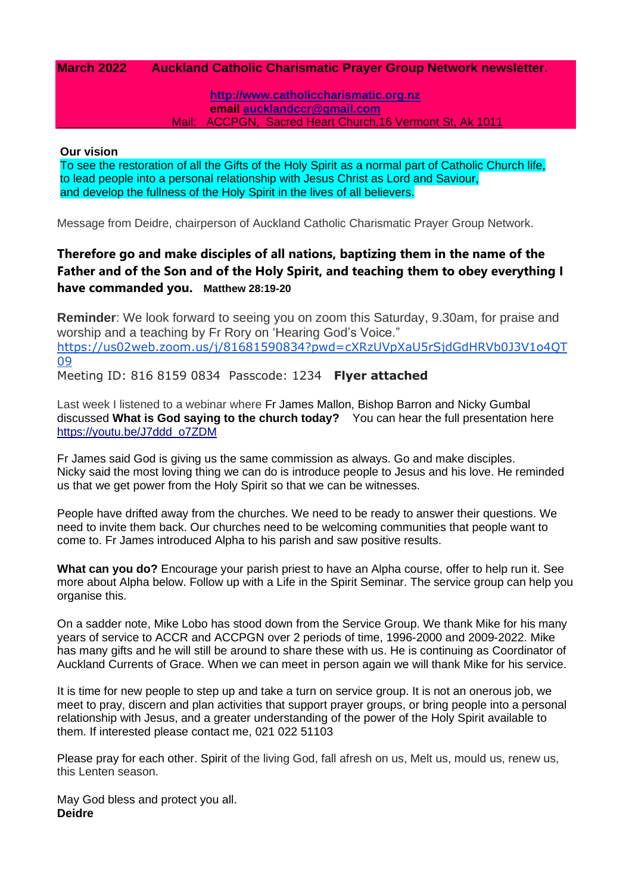### **March 2022 Auckland Catholic Charismatic Prayer Group Network newsletter.**

**[http://www.catholiccharismatic.org.nz](http://www.catholiccharismatic.org.nz/)  email [aucklandccr@gmail.com](mailto:aucklandccr@gmail.com)** Mail: ACCPGN, Sacred Heart Church,16 Vermont St, Ak 1011

#### **Our vision**

To see the restoration of all the Gifts of the Holy Spirit as a normal part of Catholic Church life, to lead people into a personal relationship with Jesus Christ as Lord and Saviour, and develop the fullness of the Holy Spirit in the lives of all believers.

Message from Deidre, chairperson of Auckland Catholic Charismatic Prayer Group Network.

# **Therefore go and make disciples of all nations, baptizing them in the name of the Father and of the Son and of the Holy Spirit, and teaching them to obey everything I have commanded you. Matthew 28:19-20**

**Reminder**: We look forward to seeing you on zoom this Saturday, 9.30am, for praise and worship and a teaching by Fr Rory on 'Hearing God's Voice." [https://us02web.zoom.us/j/81681590834?pwd=cXRzUVpXaU5rSjdGdHRVb0J3V1o4QT](https://us02web.zoom.us/j/81681590834?pwd=cXRzUVpXaU5rSjdGdHRVb0J3V1o4QT09) [09](https://us02web.zoom.us/j/81681590834?pwd=cXRzUVpXaU5rSjdGdHRVb0J3V1o4QT09)

Meeting ID: 816 8159 0834 Passcode: 1234 **Flyer attached**

Last week I listened to a webinar where Fr James Mallon, Bishop Barron and Nicky Gumbal discussed **What is God saying to the church today?** You can hear the full presentation here [https://youtu.be/J7ddd\\_o7ZDM](https://youtu.be/J7ddd_o7ZDM)

Fr James said God is giving us the same commission as always. Go and make disciples. Nicky said the most loving thing we can do is introduce people to Jesus and his love. He reminded us that we get power from the Holy Spirit so that we can be witnesses.

People have drifted away from the churches. We need to be ready to answer their questions. We need to invite them back. Our churches need to be welcoming communities that people want to come to. Fr James introduced Alpha to his parish and saw positive results.

**What can you do?** Encourage your parish priest to have an Alpha course, offer to help run it. See more about Alpha below. Follow up with a Life in the Spirit Seminar. The service group can help you organise this.

On a sadder note, Mike Lobo has stood down from the Service Group. We thank Mike for his many years of service to ACCR and ACCPGN over 2 periods of time, 1996-2000 and 2009-2022. Mike has many gifts and he will still be around to share these with us. He is continuing as Coordinator of Auckland Currents of Grace. When we can meet in person again we will thank Mike for his service.

It is time for new people to step up and take a turn on service group. It is not an onerous job, we meet to pray, discern and plan activities that support prayer groups, or bring people into a personal relationship with Jesus, and a greater understanding of the power of the Holy Spirit available to them. If interested please contact me, 021 022 51103

Please pray for each other. Spirit of the living God, fall afresh on us, Melt us, mould us, renew us, this Lenten season.

May God bless and protect you all. **Deidre**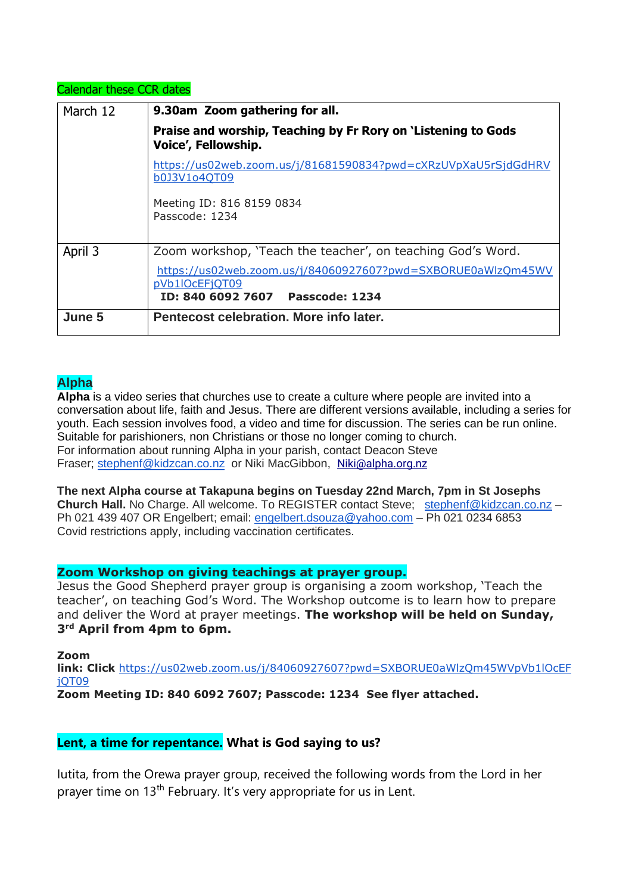### Calendar these CCR dates

| March 12 | 9.30am Zoom gathering for all.                                                                                     |
|----------|--------------------------------------------------------------------------------------------------------------------|
|          | Praise and worship, Teaching by Fr Rory on 'Listening to Gods<br>Voice', Fellowship.                               |
|          | https://us02web.zoom.us/j/81681590834?pwd=cXRzUVpXaU5rSjdGdHRV<br>b0J3V1o4QT09                                     |
|          | Meeting ID: 816 8159 0834<br>Passcode: 1234                                                                        |
| April 3  | Zoom workshop, 'Teach the teacher', on teaching God's Word.                                                        |
|          | https://us02web.zoom.us/j/84060927607?pwd=SXBORUE0aWlzQm45WV<br>pVb1lOcEFjQT09<br>ID: 840 6092 7607 Passcode: 1234 |
| June 5   | Pentecost celebration. More info later.                                                                            |

# **Alpha**

**Alpha** is a video series that churches use to create a culture where people are invited into a conversation about life, faith and Jesus. There are different versions available, including a series for youth. Each session involves food, a video and time for discussion. The series can be run online. Suitable for parishioners, non Christians or those no longer coming to church. For information about running Alpha in your parish, contact Deacon Steve Fraser; [stephenf@kidzcan.co.nz](mailto:stephenf@kidzcan.co.nz) or Niki MacGibbon, [Niki@alpha.org.nz](mailto:Niki@alpha.org.nz)

**The next Alpha course at Takapuna begins on Tuesday 22nd March, 7pm in St Josephs Church Hall.** No Charge. All welcome. To REGISTER contact Steve; [stephenf@kidzcan.co.nz](mailto:stephenf@kidzcan.co.nz) – Ph 021 439 407 OR Engelbert; email: [engelbert.dsouza@yahoo.com](mailto:engelbert.dsouza@yahoo.com) - Ph 021 0234 6853 Covid restrictions apply, including vaccination certificates.

## **Zoom Workshop on giving teachings at prayer group.**

Jesus the Good Shepherd prayer group is organising a zoom workshop, 'Teach the teacher', on teaching God's Word. The Workshop outcome is to learn how to prepare and deliver the Word at prayer meetings. **The workshop will be held on Sunday, 3 rd April from 4pm to 6pm.**

**Zoom**

**link: Click** [https://us02web.zoom.us/j/84060927607?pwd=SXBORUE0aWlzQm45WVpVb1lOcEF](https://us02web.zoom.us/j/84060927607?pwd=SXBORUE0aWlzQm45WVpVb1lOcEFjQT09) [jQT09](https://us02web.zoom.us/j/84060927607?pwd=SXBORUE0aWlzQm45WVpVb1lOcEFjQT09)

**Zoom Meeting ID: 840 6092 7607; Passcode: 1234 See flyer attached.**

## **Lent, a time for repentance. What is God saying to us?**

Iutita, from the Orewa prayer group, received the following words from the Lord in her prayer time on 13th February. It's very appropriate for us in Lent.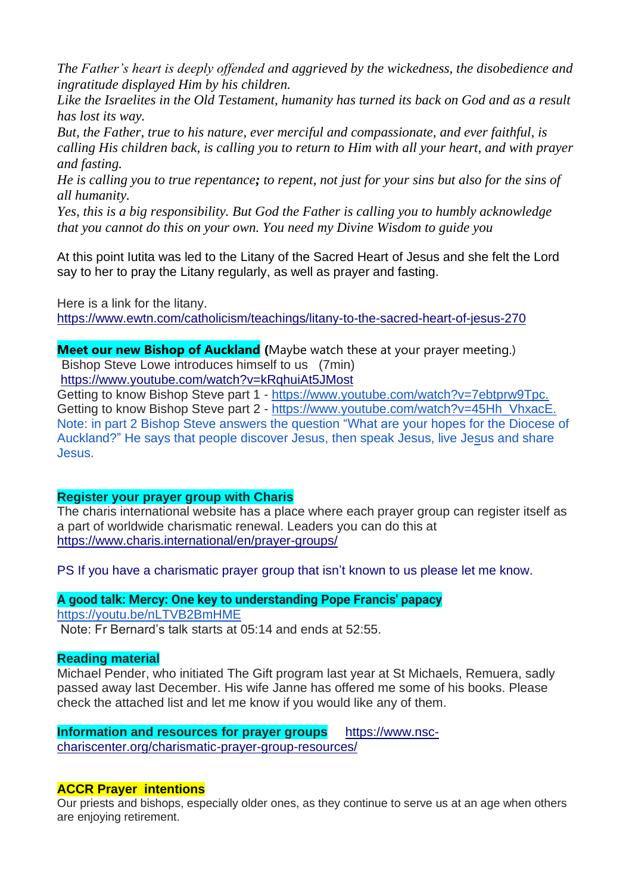*The Father's heart is deeply offended and aggrieved by the wickedness, the disobedience and ingratitude displayed Him by his children.* 

*Like the Israelites in the Old Testament, humanity has turned its back on God and as a result has lost its way.*

*But, the Father, true to his nature, ever merciful and compassionate, and ever faithful, is calling His children back, is calling you to return to Him with all your heart, and with prayer and fasting.*

*He is calling you to true repentance; to repent, not just for your sins but also for the sins of all humanity.* 

*Yes, this is a big responsibility. But God the Father is calling you to humbly acknowledge that you cannot do this on your own. You need my Divine Wisdom to guide you*

At this point Iutita was led to the Litany of the Sacred Heart of Jesus and she felt the Lord say to her to pray the Litany regularly, as well as prayer and fasting.

Here is a link for the litany. <https://www.ewtn.com/catholicism/teachings/litany-to-the-sacred-heart-of-jesus-270>

**Meet our new Bishop of Auckland (**Maybe watch these at your prayer meeting.) Bishop Steve Lowe introduces himself to us (7min) <https://www.youtube.com/watch?v=kRqhuiAt5JMost>

Getting to know Bishop Steve part 1 - [https://www.youtube.com/watch?v=7ebtprw9Tpc.](https://www.youtube.com/watch?v=7ebtprw9Tpc) Getting to know Bishop Steve part 2 - [https://www.youtube.com/watch?v=45Hh\\_VhxacE.](https://www.youtube.com/watch?v=45Hh_VhxacE) Note: in part 2 Bishop Steve answers the question "What are your hopes for the Diocese of Auckland?" He says that people discover Jesus, then speak Jesus, live Jesus and share Jesus.

# **Register your prayer group with Charis**

The charis international website has a place where each prayer group can register itself as a part of worldwide charismatic renewal. Leaders you can do this at <https://www.charis.international/en/prayer-groups/>

PS If you have a charismatic prayer group that isn't known to us please let me know.

**A good talk: Mercy: One key to understanding Pope Francis' papacy** <https://youtu.be/nLTVB2BmHME> Note: Fr Bernard's talk starts at 05:14 and ends at 52:55.

# **Reading material**

Michael Pender, who initiated The Gift program last year at St Michaels, Remuera, sadly passed away last December. His wife Janne has offered me some of his books. Please check the attached list and let me know if you would like any of them.

**Information and resources for prayer groups** [https://www.nsc](https://www.nsc-chariscenter.org/charismatic-prayer-group-resources/)[chariscenter.org/charismatic-prayer-group-resources/](https://www.nsc-chariscenter.org/charismatic-prayer-group-resources/)

# **ACCR Prayer intentions**

Our priests and bishops, especially older ones, as they continue to serve us at an age when others are enjoying retirement.